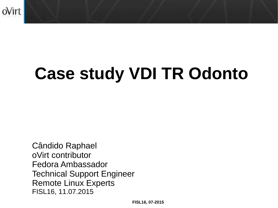

# **Case study VDI TR Odonto**

Cândido Raphael oVirt contributor Fedora Ambassador Technical Support Engineer Remote Linux Experts FISL16, 11.07.2015

**FISL16, 07-2015**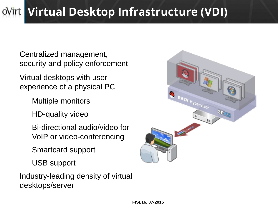### **Virtual Desktop Infrastructure (VDI)**

Centralized management, security and policy enforcement

Virtual desktops with user experience of a physical PC

Multiple monitors

HD-quality video

Bi-directional audio/video for VoIP or video-conferencing

Smartcard support

USB support

Industry-leading density of virtual desktops/server

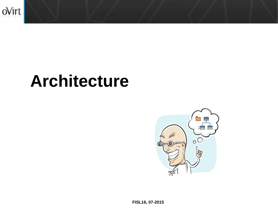

## **Architecture**



**FISL16, 07-2015**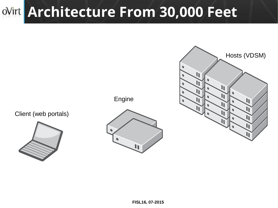### **Architecture From 30,000 Feet**

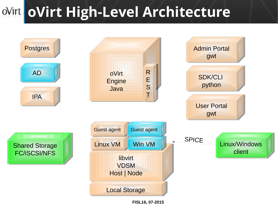### **oVirt High-Level Architecture**



**FISL16, 07-2015**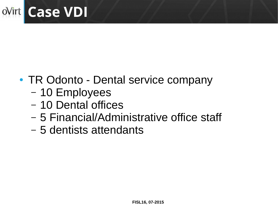

- TR Odonto Dental service company
	- 10 Employees
	- 10 Dental offices
	- 5 Financial/Administrative office staff
	- 5 dentists attendants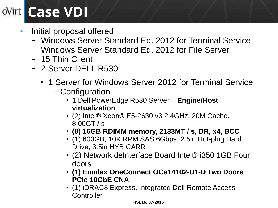## **Case VDI**

- Initial proposal offered
	- Windows Server Standard Ed. 2012 for Terminal Service
	- Windows Server Standard Ed. 2012 for File Server
	- 15 Thin Client
	- 2 Server DELL R530
		- 1 Server for Windows Server 2012 for Terminal Service
			- Configuration
				- 1 Dell PowerEdge R530 Server **Engine/Host virtualization**
				- $\bullet$  (2) Intel® Xeon® E5-2630 v3 2.4GHz, 20M Cache, 8.00GT / s
				- **(8) 16GB RDIMM memory, 2133MT / s, DR, x4, BCC**
				- (1) 600GB, 10K RPM SAS 6Gbps, 2.5in Hot-plug Hard Drive, 3.5in HYB CARR
				- (2) Network deInterface Board Intel® i350 1GB Four doors
				- **(1) Emulex OneConnect OCe14102-U1-D Two Doors PCIe 10GbE CNA**
				- (1) iDRAC8 Express, Integrated Dell Remote Access **Controller**

#### **FISL16, 07-2015**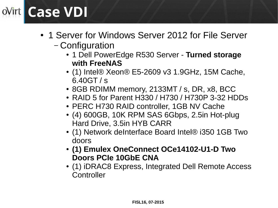### **Case VDI** oVirt |

- 1 Server for Windows Server 2012 for File Server
	- Configuration
		- 1 Dell PowerEdge R530 Server **Turned storage with FreeNAS**
		- $\bullet$  (1) Intel® Xeon® E5-2609 v3 1.9GHz, 15M Cache, 6.40GT / s
		- 8GB RDIMM memory, 2133MT / s, DR, x8, BCC
		- RAID 5 for Parent H330 / H730 / H730P 3-32 HDDs
		- PERC H730 RAID controller, 1GB NV Cache
		- (4) 600GB, 10K RPM SAS 6Gbps, 2.5in Hot-plug Hard Drive, 3.5in HYB CARR
		- (1) Network deInterface Board Intel® i350 1GB Two doors
		- **(1) Emulex OneConnect OCe14102-U1-D Two Doors PCIe 10GbE CNA**
		- (1) iDRAC8 Express, Integrated Dell Remote Access **Controller**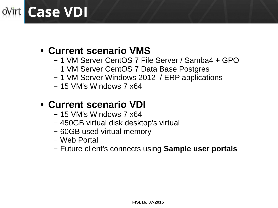### **Case VDI**

### ● **Current scenario VMS**

- 1 VM Server CentOS 7 File Server / Samba4 + GPO
- 1 VM Server CentOS 7 Data Base Postgres
- 1 VM Server Windows 2012 / ERP applications
- 15 VM's Windows 7 x64

### ● **Current scenario VDI**

- 15 VM's Windows 7 x64
- 450GB virtual disk desktop's virtual
- 60GB used virtual memory
- Web Portal
- Future client's connects using **Sample user portals**